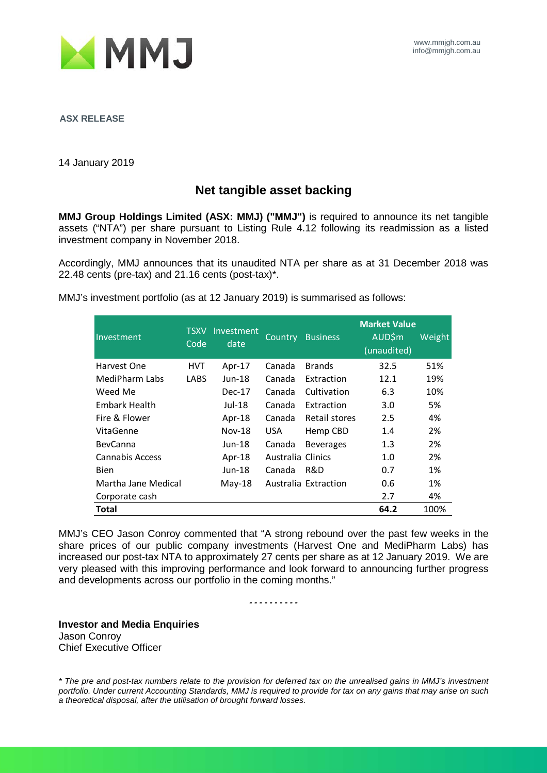

**ASX RELEASE**

14 January 2019

## **Net tangible asset backing**

**MMJ Group Holdings Limited (ASX: MMJ) ("MMJ")** is required to announce its net tangible assets ("NTA") per share pursuant to Listing Rule 4.12 following its readmission as a listed investment company in November 2018.

Accordingly, MMJ announces that its unaudited NTA per share as at 31 December 2018 was 22.48 cents (pre-tax) and 21.16 cents (post-tax)\*.

MMJ's investment portfolio (as at 12 January 2019) is summarised as follows:

| Investment          | <b>TSXV</b><br>Code | Investment<br>date | Country           | <b>Business</b>      | <b>Market Value</b><br><b>AUD\$m</b><br>(unaudited) | Weight |
|---------------------|---------------------|--------------------|-------------------|----------------------|-----------------------------------------------------|--------|
| Harvest One         | <b>HVT</b>          | Apr-17             | Canada            | <b>Brands</b>        | 32.5                                                | 51%    |
| MediPharm Labs      | <b>LABS</b>         | $Jun-18$           | Canada            | Extraction           | 12.1                                                | 19%    |
| Weed Me             |                     | $Dec-17$           | Canada            | Cultivation          | 6.3                                                 | 10%    |
| Embark Health       |                     | Jul-18             | Canada            | Extraction           | 3.0                                                 | 5%     |
| Fire & Flower       |                     | Apr-18             | Canada            | Retail stores        | 2.5                                                 | 4%     |
| VitaGenne           |                     | <b>Nov-18</b>      | USA.              | Hemp CBD             | 1.4                                                 | 2%     |
| <b>BevCanna</b>     |                     | Jun-18             | Canada            | <b>Beverages</b>     | 1.3                                                 | 2%     |
| Cannabis Access     |                     | Apr-18             | Australia Clinics |                      | 1.0                                                 | 2%     |
| <b>Bien</b>         |                     | Jun-18             | Canada            | R&D                  | 0.7                                                 | 1%     |
| Martha Jane Medical |                     | $May-18$           |                   | Australia Extraction | 0.6                                                 | 1%     |
| Corporate cash      |                     |                    |                   |                      | 2.7                                                 | 4%     |
| Total               |                     |                    |                   |                      | 64.2                                                | 100%   |

MMJ's CEO Jason Conroy commented that "A strong rebound over the past few weeks in the share prices of our public company investments (Harvest One and MediPharm Labs) has increased our post-tax NTA to approximately 27 cents per share as at 12 January 2019. We are very pleased with this improving performance and look forward to announcing further progress and developments across our portfolio in the coming months."

*- - - - - - - - - -*

**Investor and Media Enquiries** Jason Conroy Chief Executive Officer

*\* The pre and post-tax numbers relate to the provision for deferred tax on the unrealised gains in MMJ's investment portfolio. Under current Accounting Standards, MMJ is required to provide for tax on any gains that may arise on such a theoretical disposal, after the utilisation of brought forward losses.*